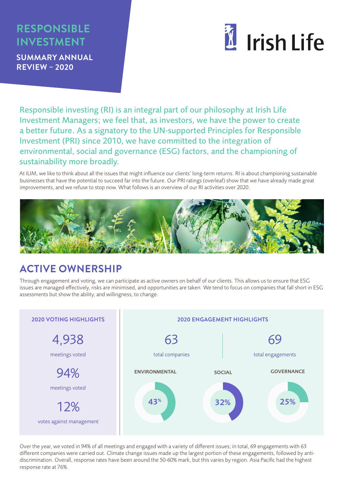# **RESPONSIBLE INVESTMENT**

**SUMMARY ANNUAL REVIEW – 2020**



Responsible investing (RI) is an integral part of our philosophy at Irish Life Investment Managers; we feel that, as investors, we have the power to create a better future. As a signatory to the UN-supported Principles for Responsible Investment (PRI) since 2010, we have committed to the integration of environmental, social and governance (ESG) factors, and the championing of sustainability more broadly.

At ILIM, we like to think about all the issues that might influence our clients' long-term returns. RI is about championing sustainable businesses that have the potential to succeed far into the future. Our PRI ratings (overleaf) show that we have already made great improvements, and we refuse to stop now. What follows is an overview of our RI activities over 2020.



### **ACTIVE OWNERSHIP**

Through engagement and voting, we can participate as active owners on behalf of our clients. This allows us to ensure that ESG issues are managed effectively, risks are minimised, and opportunities are taken. We tend to focus on companies that fall short in ESG assessments but show the ability, and willingness, to change.



Over the year, we voted in 94% of all meetings and engaged with a variety of different issues; in total, 69 engagements with 63 different companies were carried out. Climate change issues made up the largest portion of these engagements, followed by antidiscrimination. Overall, response rates have been around the 50-60% mark, but this varies by region. Asia Pacific had the highest response rate at 76%.